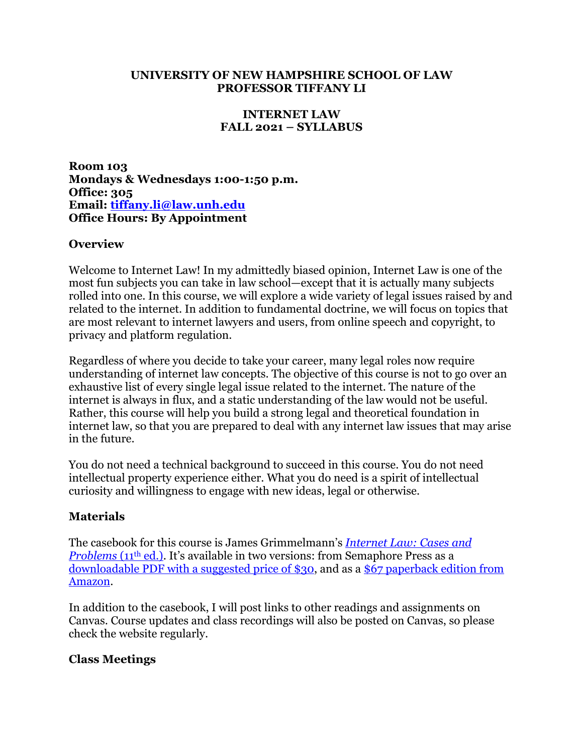#### **UNIVERSITY OF NEW HAMPSHIRE SCHOOL OF LAW PROFESSOR TIFFANY LI**

### **INTERNET LAW FALL 2021 – SYLLABUS**

**Room 103 Mondays & Wednesdays 1:00-1:50 p.m. Office: 305 Email: tiffany.li@law.unh.edu Office Hours: By Appointment**

### **Overview**

Welcome to Internet Law! In my admittedly biased opinion, Internet Law is one of the most fun subjects you can take in law school—except that it is actually many subjects rolled into one. In this course, we will explore a wide variety of legal issues raised by and related to the internet. In addition to fundamental doctrine, we will focus on topics that are most relevant to internet lawyers and users, from online speech and copyright, to privacy and platform regulation.

Regardless of where you decide to take your career, many legal roles now require understanding of internet law concepts. The objective of this course is not to go over an exhaustive list of every single legal issue related to the internet. The nature of the internet is always in flux, and a static understanding of the law would not be useful. Rather, this course will help you build a strong legal and theoretical foundation in internet law, so that you are prepared to deal with any internet law issues that may arise in the future.

You do not need a technical background to succeed in this course. You do not need intellectual property experience either. What you do need is a spirit of intellectual curiosity and willingness to engage with new ideas, legal or otherwise.

## **Materials**

The casebook for this course is James Grimmelmann's *Internet Law: Cases and Problems* (11<sup>th</sup> ed.). It's available in two versions: from Semaphore Press as a downloadable PDF with a suggested price of \$30, and as a \$67 paperback edition from Amazon.

In addition to the casebook, I will post links to other readings and assignments on Canvas. Course updates and class recordings will also be posted on Canvas, so please check the website regularly.

### **Class Meetings**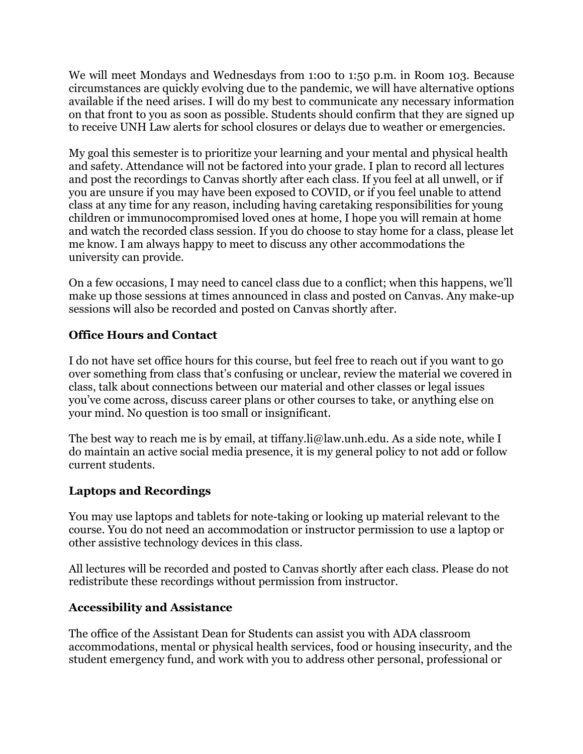We will meet Mondays and Wednesdays from 1:00 to 1:50 p.m. in Room 103. Because circumstances are quickly evolving due to the pandemic, we will have alternative options available if the need arises. I will do my best to communicate any necessary information on that front to you as soon as possible. Students should confirm that they are signed up to receive UNH Law alerts for school closures or delays due to weather or emergencies.

My goal this semester is to prioritize your learning and your mental and physical health and safety. Attendance will not be factored into your grade. I plan to record all lectures and post the recordings to Canvas shortly after each class. If you feel at all unwell, or if you are unsure if you may have been exposed to COVID, or if you feel unable to attend class at any time for any reason, including having caretaking responsibilities for young children or immunocompromised loved ones at home, I hope you will remain at home and watch the recorded class session. If you do choose to stay home for a class, please let me know. I am always happy to meet to discuss any other accommodations the university can provide.

On a few occasions, I may need to cancel class due to a conflict; when this happens, we'll make up those sessions at times announced in class and posted on Canvas. Any make-up sessions will also be recorded and posted on Canvas shortly after.

# **Office Hours and Contact**

I do not have set office hours for this course, but feel free to reach out if you want to go over something from class that's confusing or unclear, review the material we covered in class, talk about connections between our material and other classes or legal issues you've come across, discuss career plans or other courses to take, or anything else on your mind. No question is too small or insignificant.

The best way to reach me is by email, at tiffany.li@law.unh.edu. As a side note, while I do maintain an active social media presence, it is my general policy to not add or follow current students.

## **Laptops and Recordings**

You may use laptops and tablets for note-taking or looking up material relevant to the course. You do not need an accommodation or instructor permission to use a laptop or other assistive technology devices in this class.

All lectures will be recorded and posted to Canvas shortly after each class. Please do not redistribute these recordings without permission from instructor.

## **Accessibility and Assistance**

The office of the Assistant Dean for Students can assist you with ADA classroom accommodations, mental or physical health services, food or housing insecurity, and the student emergency fund, and work with you to address other personal, professional or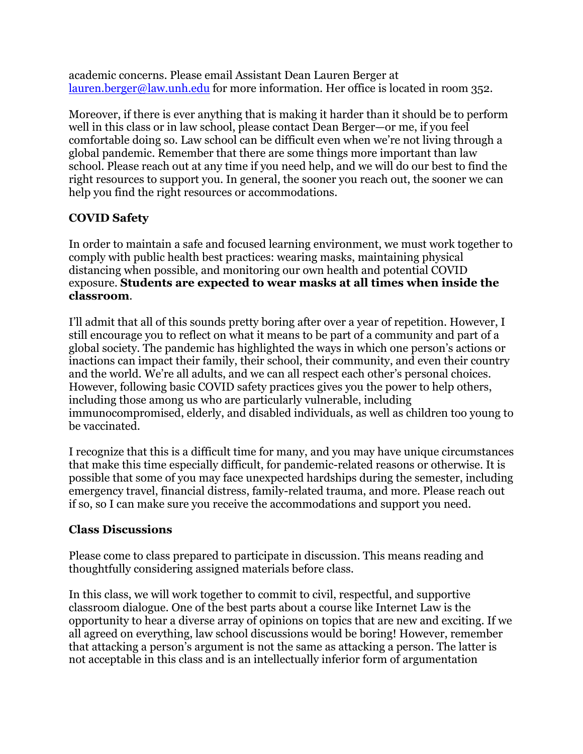academic concerns. Please email Assistant Dean Lauren Berger at lauren.berger@law.unh.edu for more information. Her office is located in room 352.

Moreover, if there is ever anything that is making it harder than it should be to perform well in this class or in law school, please contact Dean Berger—or me, if you feel comfortable doing so. Law school can be difficult even when we're not living through a global pandemic. Remember that there are some things more important than law school. Please reach out at any time if you need help, and we will do our best to find the right resources to support you. In general, the sooner you reach out, the sooner we can help you find the right resources or accommodations.

## **COVID Safety**

In order to maintain a safe and focused learning environment, we must work together to comply with public health best practices: wearing masks, maintaining physical distancing when possible, and monitoring our own health and potential COVID exposure. **Students are expected to wear masks at all times when inside the classroom**.

I'll admit that all of this sounds pretty boring after over a year of repetition. However, I still encourage you to reflect on what it means to be part of a community and part of a global society. The pandemic has highlighted the ways in which one person's actions or inactions can impact their family, their school, their community, and even their country and the world. We're all adults, and we can all respect each other's personal choices. However, following basic COVID safety practices gives you the power to help others, including those among us who are particularly vulnerable, including immunocompromised, elderly, and disabled individuals, as well as children too young to be vaccinated.

I recognize that this is a difficult time for many, and you may have unique circumstances that make this time especially difficult, for pandemic-related reasons or otherwise. It is possible that some of you may face unexpected hardships during the semester, including emergency travel, financial distress, family-related trauma, and more. Please reach out if so, so I can make sure you receive the accommodations and support you need.

## **Class Discussions**

Please come to class prepared to participate in discussion. This means reading and thoughtfully considering assigned materials before class.

In this class, we will work together to commit to civil, respectful, and supportive classroom dialogue. One of the best parts about a course like Internet Law is the opportunity to hear a diverse array of opinions on topics that are new and exciting. If we all agreed on everything, law school discussions would be boring! However, remember that attacking a person's argument is not the same as attacking a person. The latter is not acceptable in this class and is an intellectually inferior form of argumentation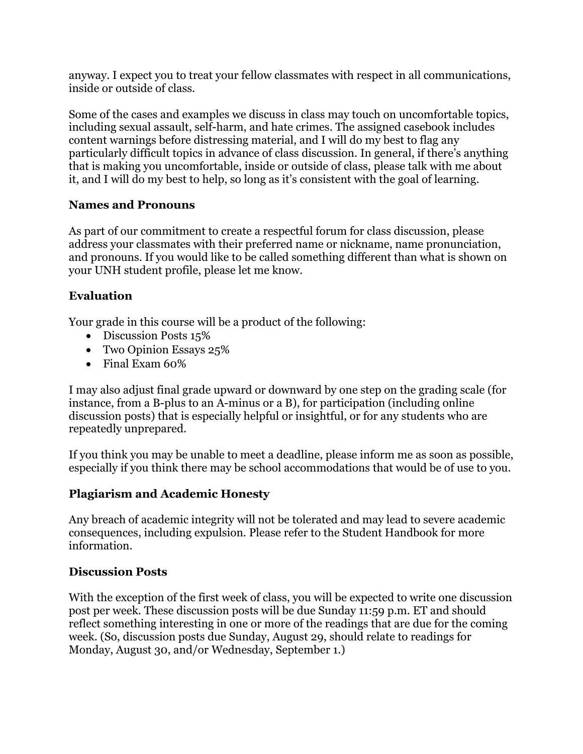anyway. I expect you to treat your fellow classmates with respect in all communications, inside or outside of class.

Some of the cases and examples we discuss in class may touch on uncomfortable topics, including sexual assault, self-harm, and hate crimes. The assigned casebook includes content warnings before distressing material, and I will do my best to flag any particularly difficult topics in advance of class discussion. In general, if there's anything that is making you uncomfortable, inside or outside of class, please talk with me about it, and I will do my best to help, so long as it's consistent with the goal of learning.

### **Names and Pronouns**

As part of our commitment to create a respectful forum for class discussion, please address your classmates with their preferred name or nickname, name pronunciation, and pronouns. If you would like to be called something different than what is shown on your UNH student profile, please let me know.

## **Evaluation**

Your grade in this course will be a product of the following:

- Discussion Posts 15%
- Two Opinion Essays 25%
- Final Exam 60%

I may also adjust final grade upward or downward by one step on the grading scale (for instance, from a B-plus to an A-minus or a B), for participation (including online discussion posts) that is especially helpful or insightful, or for any students who are repeatedly unprepared.

If you think you may be unable to meet a deadline, please inform me as soon as possible, especially if you think there may be school accommodations that would be of use to you.

# **Plagiarism and Academic Honesty**

Any breach of academic integrity will not be tolerated and may lead to severe academic consequences, including expulsion. Please refer to the Student Handbook for more information.

## **Discussion Posts**

With the exception of the first week of class, you will be expected to write one discussion post per week. These discussion posts will be due Sunday 11:59 p.m. ET and should reflect something interesting in one or more of the readings that are due for the coming week. (So, discussion posts due Sunday, August 29, should relate to readings for Monday, August 30, and/or Wednesday, September 1.)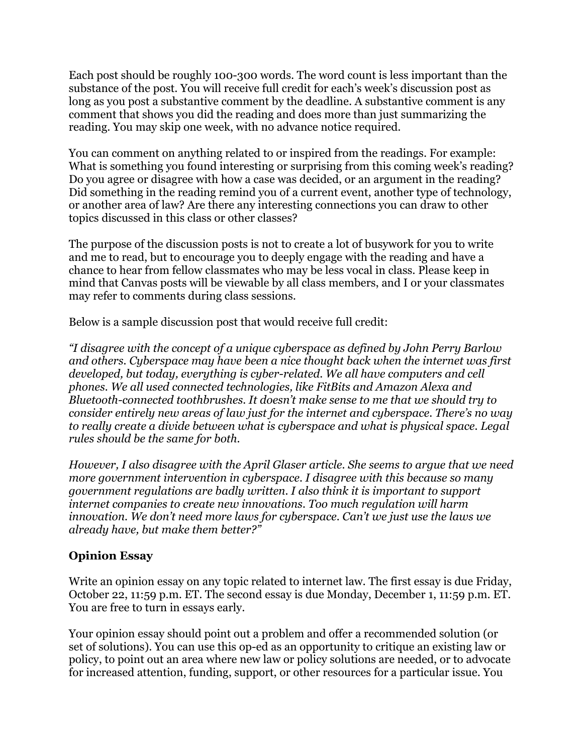Each post should be roughly 100-300 words. The word count is less important than the substance of the post. You will receive full credit for each's week's discussion post as long as you post a substantive comment by the deadline. A substantive comment is any comment that shows you did the reading and does more than just summarizing the reading. You may skip one week, with no advance notice required.

You can comment on anything related to or inspired from the readings. For example: What is something you found interesting or surprising from this coming week's reading? Do you agree or disagree with how a case was decided, or an argument in the reading? Did something in the reading remind you of a current event, another type of technology, or another area of law? Are there any interesting connections you can draw to other topics discussed in this class or other classes?

The purpose of the discussion posts is not to create a lot of busywork for you to write and me to read, but to encourage you to deeply engage with the reading and have a chance to hear from fellow classmates who may be less vocal in class. Please keep in mind that Canvas posts will be viewable by all class members, and I or your classmates may refer to comments during class sessions.

Below is a sample discussion post that would receive full credit:

*"I disagree with the concept of a unique cyberspace as defined by John Perry Barlow and others. Cyberspace may have been a nice thought back when the internet was first developed, but today, everything is cyber-related. We all have computers and cell phones. We all used connected technologies, like FitBits and Amazon Alexa and Bluetooth-connected toothbrushes. It doesn't make sense to me that we should try to consider entirely new areas of law just for the internet and cyberspace. There's no way to really create a divide between what is cyberspace and what is physical space. Legal rules should be the same for both.*

*However, I also disagree with the April Glaser article. She seems to argue that we need more government intervention in cyberspace. I disagree with this because so many government regulations are badly written. I also think it is important to support internet companies to create new innovations. Too much regulation will harm innovation. We don't need more laws for cyberspace. Can't we just use the laws we already have, but make them better?"*

# **Opinion Essay**

Write an opinion essay on any topic related to internet law. The first essay is due Friday, October 22, 11:59 p.m. ET. The second essay is due Monday, December 1, 11:59 p.m. ET. You are free to turn in essays early.

Your opinion essay should point out a problem and offer a recommended solution (or set of solutions). You can use this op-ed as an opportunity to critique an existing law or policy, to point out an area where new law or policy solutions are needed, or to advocate for increased attention, funding, support, or other resources for a particular issue. You